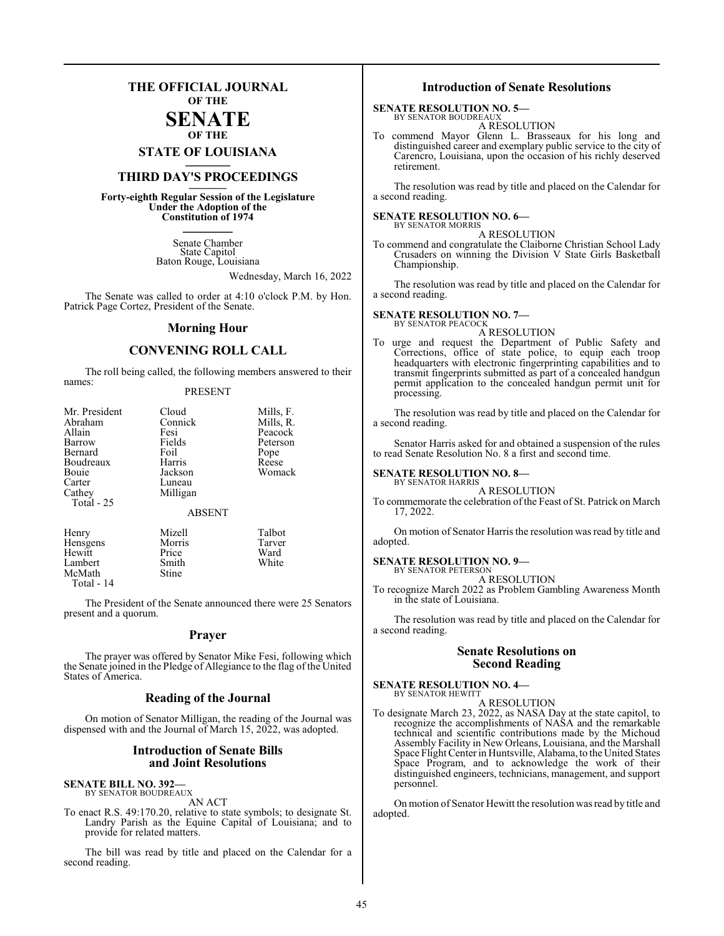### **THE OFFICIAL JOURNAL OF THE**

#### **SENATE OF THE**

**STATE OF LOUISIANA \_\_\_\_\_\_\_**

## **THIRD DAY'S PROCEEDINGS \_\_\_\_\_\_\_**

**Forty-eighth Regular Session of the Legislature Under the Adoption of the Constitution of 1974 \_\_\_\_\_\_\_**

> Senate Chamber State Capitol Baton Rouge, Louisiana

> > Wednesday, March 16, 2022

The Senate was called to order at 4:10 o'clock P.M. by Hon. Patrick Page Cortez, President of the Senate.

#### **Morning Hour**

#### **CONVENING ROLL CALL**

The roll being called, the following members answered to their names:

#### PRESENT

| Mr. President | Cloud         | Mills, F. |
|---------------|---------------|-----------|
| Abraham       | Connick       | Mills, R. |
| Allain        | Fesi          | Peacock   |
| Barrow        | Fields        | Peterson  |
| Bernard       | Foil          | Pope      |
| Boudreaux     | Harris        | Reese     |
| Bouie         | Jackson       | Womack    |
| Carter        | Luneau        |           |
| Cathey        | Milligan      |           |
| Total $-25$   |               |           |
|               | <b>ABSENT</b> |           |
| Henry         | Mizell        | Talbot    |
| Hensgens      | Morris        | Tarver    |
| Hewitt        | Price         | Ward      |
| Lambert       | Smith         | White     |
| McMath        | Stine         |           |

Total - 14

The President of the Senate announced there were 25 Senators present and a quorum.

#### **Prayer**

The prayer was offered by Senator Mike Fesi, following which the Senate joined in the Pledge of Allegiance to the flag of the United States of America.

#### **Reading of the Journal**

On motion of Senator Milligan, the reading of the Journal was dispensed with and the Journal of March 15, 2022, was adopted.

#### **Introduction of Senate Bills and Joint Resolutions**

## **SENATE BILL NO. 392—** BY SENATOR BOUDREAUX

AN ACT

To enact R.S. 49:170.20, relative to state symbols; to designate St. Landry Parish as the Equine Capital of Louisiana; and to provide for related matters.

The bill was read by title and placed on the Calendar for a second reading.

#### **Introduction of Senate Resolutions**

#### **SENATE RESOLUTION NO. 5—**

BY SENATOR BOUDREAUX A RESOLUTION

To commend Mayor Glenn L. Brasseaux for his long and distinguished career and exemplary public service to the city of Carencro, Louisiana, upon the occasion of his richly deserved retirement.

The resolution was read by title and placed on the Calendar for a second reading.

**SENATE RESOLUTION NO. 6—** BY SENATOR MORRIS

#### A RESOLUTION

To commend and congratulate the Claiborne Christian School Lady Crusaders on winning the Division V State Girls Basketball Championship.

The resolution was read by title and placed on the Calendar for a second reading.

#### **SENATE RESOLUTION NO. 7—** BY SENATOR PEACOCK

A RESOLUTION

To urge and request the Department of Public Safety and Corrections, office of state police, to equip each troop headquarters with electronic fingerprinting capabilities and to transmit fingerprints submitted as part of a concealed handgun permit application to the concealed handgun permit unit for processing.

The resolution was read by title and placed on the Calendar for a second reading.

Senator Harris asked for and obtained a suspension of the rules to read Senate Resolution No. 8 a first and second time.

#### **SENATE RESOLUTION NO. 8—**

#### BY SENATOR HARRIS A RESOLUTION

To commemorate the celebration of the Feast of St. Patrick on March 17, 2022.

On motion of Senator Harris the resolution was read by title and adopted.

#### **SENATE RESOLUTION NO. 9—**

BY SENATOR PETERSON A RESOLUTION

To recognize March 2022 as Problem Gambling Awareness Month in the state of Louisiana.

The resolution was read by title and placed on the Calendar for a second reading.

#### **Senate Resolutions on Second Reading**

#### **SENATE RESOLUTION NO. 4—** BY SENATOR HEWITT

A RESOLUTION

To designate March 23, 2022, as NASA Day at the state capitol, to recognize the accomplishments of NASA and the remarkable technical and scientific contributions made by the Michoud Assembly Facility in New Orleans, Louisiana, and the Marshall Space Flight Center in Huntsville, Alabama, to the United States Space Program, and to acknowledge the work of their distinguished engineers, technicians, management, and support personnel.

On motion of Senator Hewitt the resolution was read by title and adopted.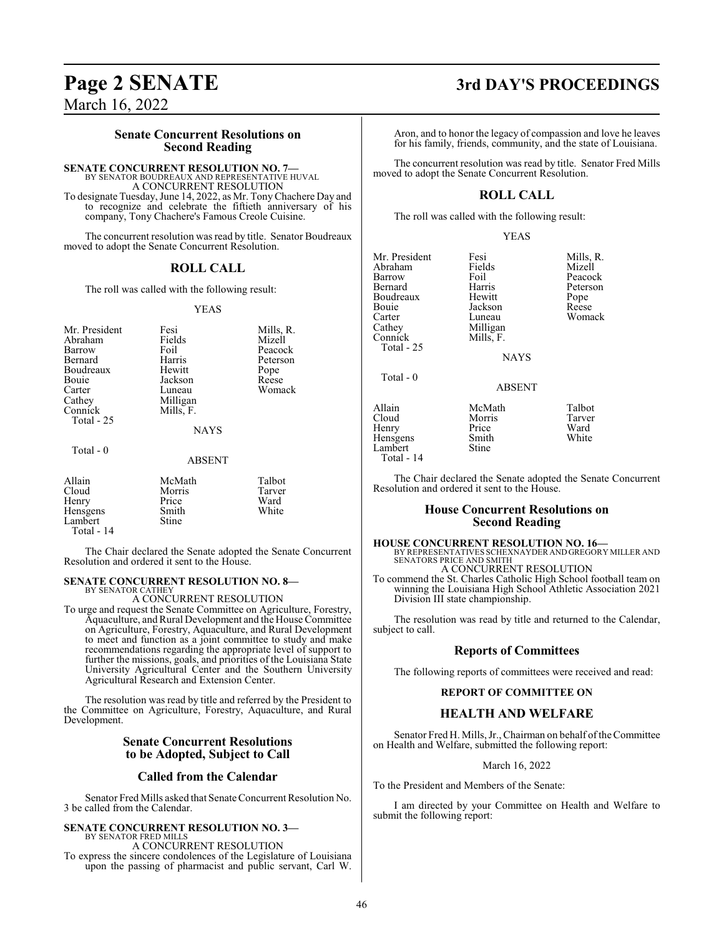March 16, 2022

#### **Senate Concurrent Resolutions on Second Reading**

**SENATE CONCURRENT RESOLUTION NO. 7—**

BY SENATOR BOUDREAUX AND REPRESENTATIVE HUVAL A CONCURRENT RESOLUTION

To designate Tuesday, June 14, 2022, as Mr. TonyChachere Day and to recognize and celebrate the fiftieth anniversary of his company, Tony Chachere's Famous Creole Cuisine.

The concurrent resolution was read by title. Senator Boudreaux moved to adopt the Senate Concurrent Resolution.

#### **ROLL CALL**

The roll was called with the following result:

#### YEAS

| Mr. President<br>Abraham<br>Barrow<br>Bernard<br>Boudreaux<br>Bouie<br>Carter<br>Cathey<br>Connick<br>Total - 25 | Fesi<br>Fields<br>Foil<br>Harris<br>Hewitt<br>Jackson<br>Luneau<br>Milligan<br>Mills, F.<br><b>NAYS</b> | Mills, R.<br>Mizell<br>Peacock<br>Peterson<br>Pope<br>Reese<br>Womack |
|------------------------------------------------------------------------------------------------------------------|---------------------------------------------------------------------------------------------------------|-----------------------------------------------------------------------|
| Total $-0$                                                                                                       | ABSENT                                                                                                  |                                                                       |
| Allain<br>Cloud<br>Henry<br>Hensgens<br>Lambert                                                                  | McMath<br>Morris<br>Price<br>Smith<br>Stine                                                             | Talbot<br>Tarver<br>Ward<br>White                                     |

Total - 14

The Chair declared the Senate adopted the Senate Concurrent Resolution and ordered it sent to the House.

#### **SENATE CONCURRENT RESOLUTION NO. 8—** BY SENATOR CATHEY

A CONCURRENT RESOLUTION

To urge and request the Senate Committee on Agriculture, Forestry, Aquaculture, and Rural Development and the House Committee on Agriculture, Forestry, Aquaculture, and Rural Development to meet and function as a joint committee to study and make recommendations regarding the appropriate level of support to further the missions, goals, and priorities of the Louisiana State University Agricultural Center and the Southern University Agricultural Research and Extension Center.

The resolution was read by title and referred by the President to the Committee on Agriculture, Forestry, Aquaculture, and Rural Development.

#### **Senate Concurrent Resolutions to be Adopted, Subject to Call**

#### **Called from the Calendar**

Senator Fred Mills asked that Senate Concurrent Resolution No. 3 be called from the Calendar.

#### **SENATE CONCURRENT RESOLUTION NO. 3—** BY SENATOR FRED MILLS

A CONCURRENT RESOLUTION

To express the sincere condolences of the Legislature of Louisiana upon the passing of pharmacist and public servant, Carl W.

## **Page 2 SENATE 3rd DAY'S PROCEEDINGS**

Aron, and to honor the legacy of compassion and love he leaves for his family, friends, community, and the state of Louisiana.

The concurrent resolution was read by title. Senator Fred Mills moved to adopt the Senate Concurrent Resolution.

### **ROLL CALL**

The roll was called with the following result:

YEAS

Mr. President Fesi Fesi Mills, R.<br>Abraham Fields Mizell Abraham Field<br>Barrow Foil Barrow Foil Peacock<br>Bernard Harris Peterson Boudreaux Hewitt Pope Bouie Jackson<br>Carter Luneau Carter Luneau Womack<br>Cathey Milligan Womack Cathey Milligan<br>Connick Mills, F. Mills, F. Total - 25 Total - 0 Allain McMath Talbot Henry Price Ward<br>
Hensgens Smith White Hensgens Smith<br>Lambert Stine Lambert Total - 14

Harris Peterson<br>Hewitt Pope

NAYS

ABSENT

Morris Tarver<br>Price Ward

The Chair declared the Senate adopted the Senate Concurrent Resolution and ordered it sent to the House.

#### **House Concurrent Resolutions on Second Reading**

**HOUSE CONCURRENT RESOLUTION NO. 16—** BY REPRESENTATIVES SCHEXNAYDER AND GREGORY MILLER AND SENATORS PRICE AND SMITH

A CONCURRENT RESOLUTION

To commend the St. Charles Catholic High School football team on winning the Louisiana High School Athletic Association 2021 Division III state championship.

The resolution was read by title and returned to the Calendar, subject to call.

#### **Reports of Committees**

The following reports of committees were received and read:

#### **REPORT OF COMMITTEE ON**

#### **HEALTH AND WELFARE**

Senator Fred H. Mills, Jr., Chairman on behalf of the Committee on Health and Welfare, submitted the following report:

#### March 16, 2022

To the President and Members of the Senate:

I am directed by your Committee on Health and Welfare to submit the following report: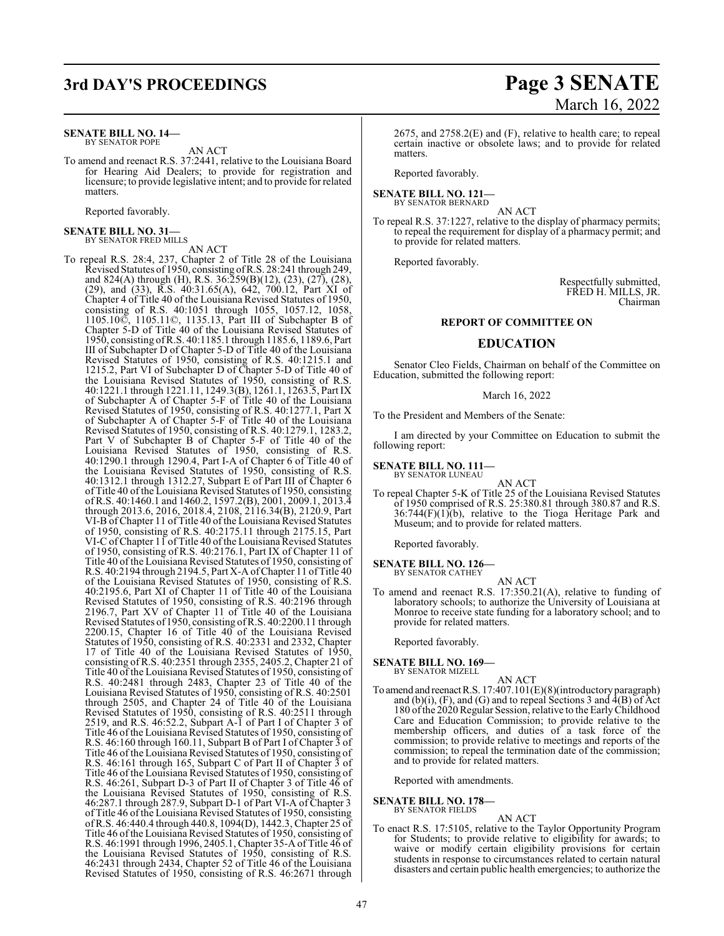## **3rd DAY'S PROCEEDINGS Page 3 SENATE**

#### **SENATE BILL NO. 14—** BY SENATOR POPE

AN ACT

To amend and reenact R.S. 37:2441, relative to the Louisiana Board for Hearing Aid Dealers; to provide for registration and licensure; to provide legislative intent; and to provide for related matters.

Reported favorably.

## **SENATE BILL NO. 31—** BY SENATOR FRED MILLS

AN ACT

To repeal R.S. 28:4, 237, Chapter 2 of Title 28 of the Louisiana Revised Statutes of 1950, consisting ofR.S. 28:241 through 249, and 824(A) through (H), R.S. 36:259(B)(12), (23), (27), (28), (29), and (33),  $\overline{R}$ .S. 40:31.65(A), 642, 700.12, Part XI of Chapter 4 of Title 40 of the Louisiana Revised Statutes of 1950, consisting of R.S. 40:1051 through 1055, 1057.12, 1058, 1105.10©, 1105.11©, 1135.13, Part III of Subchapter B of Chapter 5-D of Title 40 of the Louisiana Revised Statutes of 1950, consisting ofR.S. 40:1185.1 through 1185.6, 1189.6, Part III of Subchapter D of Chapter 5-D of Title 40 of the Louisiana Revised Statutes of 1950, consisting of R.S. 40:1215.1 and 1215.2, Part VI of Subchapter D of Chapter 5-D of Title 40 of the Louisiana Revised Statutes of 1950, consisting of R.S. 40:1221.1 through 1221.11, 1249.3(B), 1261.1, 1263.5, Part IX of Subchapter A of Chapter 5-F of Title 40 of the Louisiana Revised Statutes of 1950, consisting of R.S. 40:1277.1, Part X of Subchapter A of Chapter 5-F of Title 40 of the Louisiana Revised Statutes of 1950, consisting of R.S. 40:1279.1, 1283.2, Part V of Subchapter B of Chapter 5-F of Title 40 of the Louisiana Revised Statutes of 1950, consisting of R.S. 40:1290.1 through 1290.4, Part I-A of Chapter 6 of Title 40 of the Louisiana Revised Statutes of 1950, consisting of R.S. 40:1312.1 through 1312.27, Subpart E of Part III of Chapter 6 of Title 40 of the Louisiana Revised Statutes of 1950, consisting of R.S. 40:1460.1 and 1460.2, 1597.2(B), 2001, 2009.1, 2013.4 through 2013.6, 2016, 2018.4, 2108, 2116.34(B), 2120.9, Part VI-B of Chapter 11 of Title 40 of the Louisiana Revised Statutes of 1950, consisting of R.S. 40:2175.11 through 2175.15, Part VI-C of Chapter 11 of Title 40 of the Louisiana Revised Statutes of 1950, consisting of R.S. 40:2176.1, Part IX of Chapter 11 of Title 40 of the Louisiana Revised Statutes of 1950, consisting of R.S. 40:2194 through 2194.5, Part X-A ofChapter 11 ofTitle 40 of the Louisiana Revised Statutes of 1950, consisting of R.S. 40:2195.6, Part XI of Chapter 11 of Title 40 of the Louisiana Revised Statutes of 1950, consisting of R.S. 40:2196 through 2196.7, Part XV of Chapter 11 of Title 40 of the Louisiana Revised Statutes of 1950, consisting ofR.S. 40:2200.11 through 2200.15, Chapter 16 of Title 40 of the Louisiana Revised Statutes of 1950, consisting of R.S. 40:2331 and 2332, Chapter 17 of Title 40 of the Louisiana Revised Statutes of 1950, consisting of R.S. 40:2351 through 2355, 2405.2, Chapter 21 of Title 40 of the Louisiana Revised Statutes of 1950, consisting of R.S. 40:2481 through 2483, Chapter 23 of Title 40 of the Louisiana Revised Statutes of 1950, consisting of R.S. 40:2501 through 2505, and Chapter 24 of Title 40 of the Louisiana Revised Statutes of 1950, consisting of R.S. 40:2511 through 2519, and R.S. 46:52.2, Subpart A-1 of Part I of Chapter 3 of Title 46 ofthe Louisiana Revised Statutes of 1950, consisting of R.S. 46:160 through 160.11, Subpart B of Part I of Chapter 3 of Title 46 of the Louisiana Revised Statutes of 1950, consisting of R.S. 46:161 through 165, Subpart C of Part II of Chapter 3 of Title 46 of the Louisiana Revised Statutes of 1950, consisting of R.S. 46:261, Subpart D-3 of Part II of Chapter 3 of Title 46 of the Louisiana Revised Statutes of 1950, consisting of R.S. 46:287.1 through 287.9, Subpart D-1 of Part VI-A of Chapter 3 of Title 46 ofthe Louisiana Revised Statutes of 1950, consisting ofR.S. 46:440.4 through 440.8, 1094(D), 1442.3, Chapter 25 of Title 46 ofthe Louisiana Revised Statutes of 1950, consisting of R.S. 46:1991 through 1996, 2405.1, Chapter 35-A of Title 46 of the Louisiana Revised Statutes of 1950, consisting of R.S. 46:2431 through 2434, Chapter 52 of Title 46 of the Louisiana Revised Statutes of 1950, consisting of R.S. 46:2671 through

# March 16, 2022

2675, and 2758.2(E) and (F), relative to health care; to repeal certain inactive or obsolete laws; and to provide for related matters.

Reported favorably.

## **SENATE BILL NO. 121—** BY SENATOR BERNARD

AN ACT

To repeal R.S. 37:1227, relative to the display of pharmacy permits; to repeal the requirement for display of a pharmacy permit; and to provide for related matters.

Reported favorably.

Respectfully submitted, FRED H. MILLS, JR. Chairman

#### **REPORT OF COMMITTEE ON**

#### **EDUCATION**

Senator Cleo Fields, Chairman on behalf of the Committee on Education, submitted the following report:

March 16, 2022

To the President and Members of the Senate:

I am directed by your Committee on Education to submit the following report:

**SENATE BILL NO. 111—** BY SENATOR LUNEAU

AN ACT

To repeal Chapter 5-K of Title 25 of the Louisiana Revised Statutes of 1950 comprised of R.S. 25:380.81 through 380.87 and R.S. 36:744(F)(1)(b), relative to the Tioga Heritage Park and Museum; and to provide for related matters.

Reported favorably.

- **SENATE BILL NO. 126—** BY SENATOR CATHEY AN ACT
- To amend and reenact R.S. 17:350.21(A), relative to funding of laboratory schools; to authorize the University of Louisiana at Monroe to receive state funding for a laboratory school; and to provide for related matters.

Reported favorably.

## **SENATE BILL NO. 169—** BY SENATOR MIZELL

- AN ACT
- To amend and reenactR.S. 17:407.101(E)(8)(introductory paragraph) and (b)(i),  $(F)$ , and  $(G)$  and to repeal Sections 3 and  $\tilde{4}(B)$  of Act 180 ofthe 2020Regular Session, relative to the EarlyChildhood Care and Education Commission; to provide relative to the membership officers, and duties of a task force of the commission; to provide relative to meetings and reports of the commission; to repeal the termination date of the commission; and to provide for related matters.

Reported with amendments.

**SENATE BILL NO. 178—**

BY SENATOR FIELDS

AN ACT

To enact R.S. 17:5105, relative to the Taylor Opportunity Program for Students; to provide relative to eligibility for awards; to waive or modify certain eligibility provisions for certain students in response to circumstances related to certain natural disasters and certain public health emergencies; to authorize the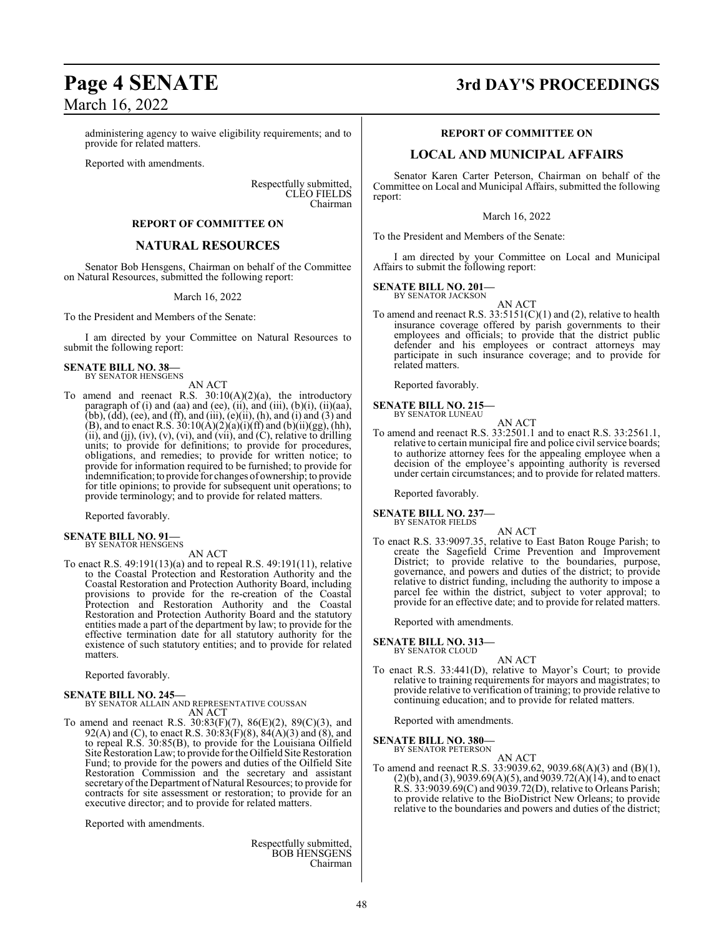# March 16, 2022

administering agency to waive eligibility requirements; and to provide for related matters.

Reported with amendments.

Respectfully submitted, CLEO FIELDS Chairman

#### **REPORT OF COMMITTEE ON**

#### **NATURAL RESOURCES**

Senator Bob Hensgens, Chairman on behalf of the Committee on Natural Resources, submitted the following report:

#### March 16, 2022

To the President and Members of the Senate:

I am directed by your Committee on Natural Resources to submit the following report:

## **SENATE BILL NO. 38—** BY SENATOR HENSGENS

AN ACT

To amend and reenact R.S.  $30:10(A)(2)(a)$ , the introductory paragraph of (i) and (aa) and (ee), (ii), and (iii), (b)(i), (ii)(aa), (bb),  $(dd)$ , (ee), and (ff), and (iii),  $(e)$ (ii),  $(h)$ , and (i) and (3) and (B), and to enact R.S.  $30:10(A)(2)(a)(i)(ff)$  and  $(b)(ii)(gg)$ , (hh),  $(ii)$ , and  $(ij)$ ,  $(iv)$ ,  $(v)$ ,  $(vi)$ , and  $(vii)$ , and  $(C)$ , relative to drilling units; to provide for definitions; to provide for procedures, obligations, and remedies; to provide for written notice; to provide for information required to be furnished; to provide for indemnification;to provide for changes of ownership; to provide for title opinions; to provide for subsequent unit operations; to provide terminology; and to provide for related matters.

Reported favorably.

#### **SENATE BILL NO. 91—** BY SENATOR HENSGENS

AN ACT

To enact R.S. 49:191(13)(a) and to repeal R.S. 49:191(11), relative to the Coastal Protection and Restoration Authority and the Coastal Restoration and Protection Authority Board, including provisions to provide for the re-creation of the Coastal Protection and Restoration Authority and the Coastal Restoration and Protection Authority Board and the statutory entities made a part of the department by law; to provide for the effective termination date for all statutory authority for the existence of such statutory entities; and to provide for related matters.

Reported favorably.

#### **SENATE BILL NO. 245—** BY SENATOR ALLAIN AND REPRESENTATIVE COUSSAN AN ACT

To amend and reenact R.S. 30:83(F)(7), 86(E)(2), 89(C)(3), and 92(A) and (C), to enact R.S.  $30:83(F)(8)$ ,  $84(A)(3)$  and  $(8)$ , and to repeal R.S. 30:85(B), to provide for the Louisiana Oilfield Site Restoration Law; to provide for the Oilfield Site Restoration Fund; to provide for the powers and duties of the Oilfield Site Restoration Commission and the secretary and assistant secretaryofthe Department of Natural Resources; to provide for contracts for site assessment or restoration; to provide for an executive director; and to provide for related matters.

Reported with amendments.

Respectfully submitted, BOB HENSGENS Chairman

## **Page 4 SENATE 3rd DAY'S PROCEEDINGS**

#### **REPORT OF COMMITTEE ON**

#### **LOCAL AND MUNICIPAL AFFAIRS**

Senator Karen Carter Peterson, Chairman on behalf of the Committee on Local and Municipal Affairs, submitted the following report:

March 16, 2022

To the President and Members of the Senate:

I am directed by your Committee on Local and Municipal Affairs to submit the following report:

#### **SENATE BILL NO. 201—**

BY SENATOR JACKSON

AN ACT To amend and reenact R.S.  $33:5151(C)(1)$  and (2), relative to health insurance coverage offered by parish governments to their employees and officials; to provide that the district public defender and his employees or contract attorneys may participate in such insurance coverage; and to provide for related matters.

Reported favorably.

#### **SENATE BILL NO. 215—** BY SENATOR LUNEAU

AN ACT

To amend and reenact R.S. 33:2501.1 and to enact R.S. 33:2561.1, relative to certain municipal fire and police civil service boards; to authorize attorney fees for the appealing employee when a decision of the employee's appointing authority is reversed under certain circumstances; and to provide for related matters.

Reported favorably.

**SENATE BILL NO. 237—**

BY SENATOR FIELDS AN ACT

To enact R.S. 33:9097.35, relative to East Baton Rouge Parish; to create the Sagefield Crime Prevention and Improvement District; to provide relative to the boundaries, purpose, governance, and powers and duties of the district; to provide relative to district funding, including the authority to impose a parcel fee within the district, subject to voter approval; to provide for an effective date; and to provide for related matters.

Reported with amendments.

**SENATE BILL NO. 313—**

BY SENATOR CLOUD

#### AN ACT

To enact R.S. 33:441(D), relative to Mayor's Court; to provide relative to training requirements for mayors and magistrates; to provide relative to verification of training; to provide relative to continuing education; and to provide for related matters.

Reported with amendments.

**SENATE BILL NO. 380—** BY SENATOR PETERSON

AN ACT

To amend and reenact R.S. 33:9039.62, 9039.68(A)(3) and (B)(1),  $(2)(b)$ , and  $(3)$ , 9039.69 $(A)(5)$ , and 9039.72 $(A)(14)$ , and to enact R.S. 33:9039.69(C) and 9039.72(D), relative to Orleans Parish; to provide relative to the BioDistrict New Orleans; to provide relative to the boundaries and powers and duties of the district;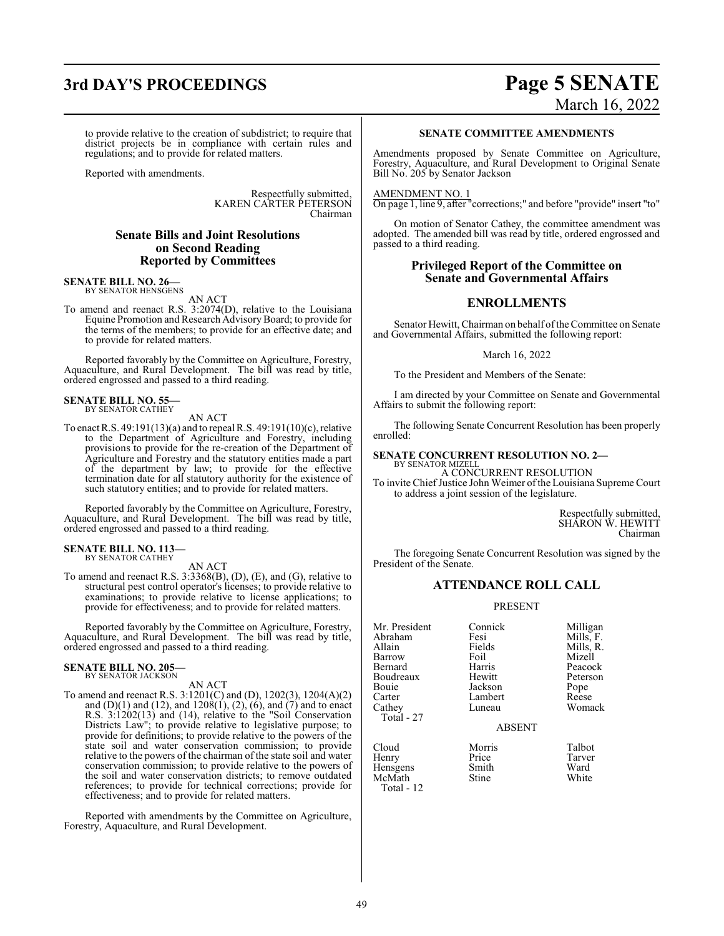to provide relative to the creation of subdistrict; to require that district projects be in compliance with certain rules and regulations; and to provide for related matters.

Reported with amendments.

Respectfully submitted, KAREN CARTER PETERSON Chairman

#### **Senate Bills and Joint Resolutions on Second Reading Reported by Committees**

## **SENATE BILL NO. 26—** BY SENATOR HENSGENS

AN ACT

To amend and reenact R.S. 3:2074(D), relative to the Louisiana Equine Promotion and Research AdvisoryBoard; to provide for the terms of the members; to provide for an effective date; and to provide for related matters.

Reported favorably by the Committee on Agriculture, Forestry, Aquaculture, and Rural Development. The bill was read by title, ordered engrossed and passed to a third reading.

## **SENATE BILL NO. 55—** BY SENATOR CATHEY

AN ACT

To enact R.S. 49:191(13)(a) and to repeal R.S. 49:191(10)(c), relative to the Department of Agriculture and Forestry, including provisions to provide for the re-creation of the Department of Agriculture and Forestry and the statutory entities made a part of the department by law; to provide for the effective termination date for all statutory authority for the existence of such statutory entities; and to provide for related matters.

Reported favorably by the Committee on Agriculture, Forestry, Aquaculture, and Rural Development. The bill was read by title, ordered engrossed and passed to a third reading.

#### **SENATE BILL NO. 113—** BY SENATOR CATHEY

AN ACT

To amend and reenact R.S. 3:3368(B), (D), (E), and (G), relative to structural pest control operator's licenses; to provide relative to examinations; to provide relative to license applications; to provide for effectiveness; and to provide for related matters.

Reported favorably by the Committee on Agriculture, Forestry, Aquaculture, and Rural Development. The bill was read by title, ordered engrossed and passed to a third reading.

#### **SENATE BILL NO. 205—** BY SENATOR JACKSON

AN ACT

To amend and reenact R.S. 3:1201(C) and (D), 1202(3), 1204(A)(2) and  $(D)(1)$  and  $(12)$ , and  $1208(1)$ ,  $(2)$ ,  $(6)$ , and  $(7)$  and to enact R.S. 3:1202(13) and (14), relative to the "Soil Conservation Districts Law"; to provide relative to legislative purpose; to provide for definitions; to provide relative to the powers of the state soil and water conservation commission; to provide relative to the powers of the chairman of the state soil and water conservation commission; to provide relative to the powers of the soil and water conservation districts; to remove outdated references; to provide for technical corrections; provide for effectiveness; and to provide for related matters.

Reported with amendments by the Committee on Agriculture, Forestry, Aquaculture, and Rural Development.

## **3rd DAY'S PROCEEDINGS Page 5 SENATE** March 16, 2022

#### **SENATE COMMITTEE AMENDMENTS**

Amendments proposed by Senate Committee on Agriculture, Forestry, Aquaculture, and Rural Development to Original Senate Bill No. 205 by Senator Jackson

#### AMENDMENT NO. 1

On page 1, line 9, after "corrections;" and before "provide" insert "to"

On motion of Senator Cathey, the committee amendment was adopted. The amended bill was read by title, ordered engrossed and passed to a third reading.

#### **Privileged Report of the Committee on Senate and Governmental Affairs**

#### **ENROLLMENTS**

Senator Hewitt, Chairman on behalf of the Committee on Senate and Governmental Affairs, submitted the following report:

March 16, 2022

To the President and Members of the Senate:

I am directed by your Committee on Senate and Governmental Affairs to submit the following report:

The following Senate Concurrent Resolution has been properly enrolled:

#### **SENATE CONCURRENT RESOLUTION NO. 2—** BY SENATOR MIZELL

A CONCURRENT RESOLUTION

To invite Chief Justice John Weimer of the Louisiana Supreme Court to address a joint session of the legislature.

> Respectfully submitted, SHARON W. HEWITT Chairman

The foregoing Senate Concurrent Resolution was signed by the President of the Senate.

#### **ATTENDANCE ROLL CALL**

PRESENT

| Mr. President<br>Abraham<br>Allain<br>Barrow<br>Bernard<br>Boudreaux<br>Bouie<br>Carter<br>Cathey<br>Total - 27 | Connick<br>Fesi<br>Fields<br>Foil<br>Harris<br>Hewitt<br>Jackson<br>Lambert<br>Luneau | Milligan<br>Mills, F.<br>Mills, R.<br>Mizell<br>Peacock<br>Peterson<br>Pope<br>Reese<br>Womack |
|-----------------------------------------------------------------------------------------------------------------|---------------------------------------------------------------------------------------|------------------------------------------------------------------------------------------------|
|                                                                                                                 | <b>ABSENT</b>                                                                         |                                                                                                |

Cloud Morris Talbot Henry Price Tarver<br>
Hensgens Smith Ward Hensgens Smith Ward<br>
McMath Stine White McMath Total - 12